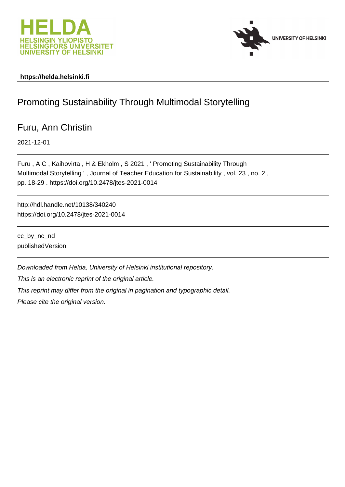



# **https://helda.helsinki.fi**

# Promoting Sustainability Through Multimodal Storytelling

# Furu, Ann Christin

2021-12-01

Furu , A C , Kaihovirta , H & Ekholm , S 2021 , ' Promoting Sustainability Through Multimodal Storytelling ' , Journal of Teacher Education for Sustainability , vol. 23 , no. 2 , pp. 18-29 . https://doi.org/10.2478/jtes-2021-0014

http://hdl.handle.net/10138/340240 https://doi.org/10.2478/jtes-2021-0014

cc\_by\_nc\_nd publishedVersion

Downloaded from Helda, University of Helsinki institutional repository.

This is an electronic reprint of the original article.

This reprint may differ from the original in pagination and typographic detail.

Please cite the original version.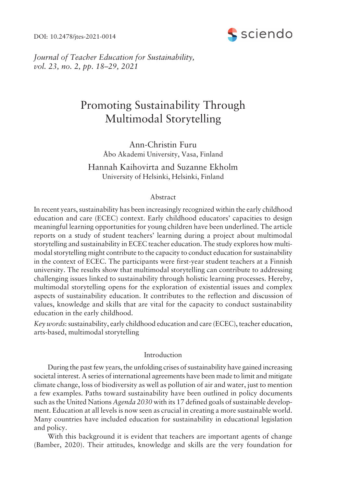DOI: 10.2478/jtes-2021-0014



*Journal of Teacher Education for Sustainability, vol.* 23, no. 2, pp. 18–29, 2021

# Promoting Sustainability Through Multimodal Storytelling

Ann-Christin Furu Åbo Akademi University, Vasa, Finland

Hannah Kaihovirta and Suzanne Ekholm University of Helsinki, Helsinki, Finland

# Abstract

In recent years, sustainability has been increasingly recognized within the early childhood education and care (ECEC) context. Early childhood educators' capacities to design meaningful learning opportunities for young children have been underlined. The article reports on a study of student teachers' learning during a project about multimodal storytelling and sustainability in ECEC teacher education. The study explores how multimodal storytelling might contribute to the capacity to conduct education for sustainability in the context of ECEC. The participants were first-year student teachers at a Finnish university. The results show that multimodal storytelling can contribute to addressing challenging issues linked to sustainability through holistic learning processes. Hereby, multimodal storytelling opens for the exploration of existential issues and complex aspects of sustainability education. It contributes to the reflection and discussion of values, knowledge and skills that are vital for the capacity to conduct sustainability education in the early childhood.

*Key words*: sustainability, early childhood education and care (ECEC), teacher education, arts-based, multimodal storytelling

# Introduction

During the past few years, the unfolding crises of sustainability have gained increasing societal interest. A series of international agreements have been made to limit and mitigate climate change, loss of biodiversity as well as pollution of air and water, just to mention a few examples. Paths toward sustainability have been outlined in policy documents such as the United Nations *Agenda 2030* with its 17 defined goals of sustainable development. Education at all levels is now seen as crucial in creating a more sustainable world. Many countries have included education for sustainability in educational legislation and policy.

With this background it is evident that teachers are important agents of change (Bamber, 2020). Their attitudes, knowledge and skills are the very foundation for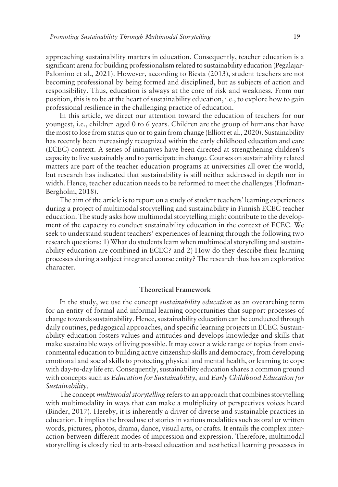approaching sustainability matters in education. Consequently, teacher education is a significant arena for building professionalism related to sustainability education (Pegalajar-Palomino et al., 2021). However, according to Biesta (2013), student teachers are not becoming professional by being formed and disciplined, but as subjects of action and responsibility. Thus, education is always at the core of risk and weakness. From our position, this is to be at the heart of sustainability education, i.e., to explore how to gain professional resilience in the challenging practice of education.

In this article, we direct our attention toward the education of teachers for our youngest, i.e., children aged 0 to 6 years. Children are the group of humans that have the most to lose from status quo or to gain from change (Elliott et al., 2020). Sustainability has recently been increasingly recognized within the early childhood education and care (ECEC) context. A series of initiatives have been directed at strengthening childrenís capacity to live sustainably and to participate in change. Courses on sustainability related matters are part of the teacher education programs at universities all over the world, but research has indicated that sustainability is still neither addressed in depth nor in width. Hence, teacher education needs to be reformed to meet the challenges (Hofman-Bergholm, 2018).

The aim of the article is to report on a study of student teachers' learning experiences during a project of multimodal storytelling and sustainability in Finnish ECEC teacher education. The study asks how multimodal storytelling might contribute to the development of the capacity to conduct sustainability education in the context of ECEC. We seek to understand student teachers' experiences of learning through the following two research questions: 1) What do students learn when multimodal storytelling and sustainability education are combined in ECEC? and 2) How do they describe their learning processes during a subject integrated course entity? The research thus has an explorative character.

## **Theoretical Framework**

In the study, we use the concept *sustainability education* as an overarching term for an entity of formal and informal learning opportunities that support processes of change towards sustainability. Hence, sustainability education can be conducted through daily routines, pedagogical approaches, and specific learning projects in ECEC. Sustainability education fosters values and attitudes and develops knowledge and skills that make sustainable ways of living possible. It may cover a wide range of topics from environmental education to building active citizenship skills and democracy, from developing emotional and social skills to protecting physical and mental health, or learning to cope with day-to-day life etc. Consequently, sustainability education shares a common ground with concepts such as *Education for Sustainability*, and *Early Childhood Education for Sustainability*.

The concept *multimodal storytelling* refers to an approach that combines storytelling with multimodality in ways that can make a multiplicity of perspectives voices heard (Binder, 2017). Hereby, it is inherently a driver of diverse and sustainable practices in education. It implies the broad use of stories in various modalities such as oral or written words, pictures, photos, drama, dance, visual arts, or crafts. It entails the complex interaction between different modes of impression and expression. Therefore, multimodal storytelling is closely tied to arts-based education and aesthetical learning processes in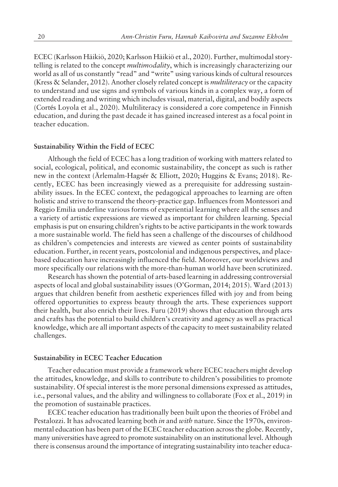ECEC (Karlsson Häikiö, 2020; Karlsson Häikiö et al., 2020). Further, multimodal storytelling is related to the concept *multimodality*, which is increasingly characterizing our world as all of us constantly "read" and "write" using various kinds of cultural resources (Kress & Selander, 2012). Another closely related concept is *multiliteracy* or the capacity to understand and use signs and symbols of various kinds in a complex way, a form of extended reading and writing which includes visual, material, digital, and bodily aspects (Cortés Loyola et al., 2020). Multiliteracy is considered a core competence in Finnish education, and during the past decade it has gained increased interest as a focal point in teacher education.

#### **Sustainability Within the Field of ECEC**

Although the field of ECEC has a long tradition of working with matters related to social, ecological, political, and economic sustainability, the concept as such is rather new in the context (Ärlemalm-Hagsér & Elliott, 2020; Huggins & Evans; 2018). Recently, ECEC has been increasingly viewed as a prerequisite for addressing sustainability issues. In the ECEC context, the pedagogical approaches to learning are often holistic and strive to transcend the theory-practice gap. Influences from Montessori and Reggio Emilia underline various forms of experiential learning where all the senses and a variety of artistic expressions are viewed as important for children learning. Special emphasis is put on ensuring children's rights to be active participants in the work towards a more sustainable world. The field has seen a challenge of the discourses of childhood as children's competencies and interests are viewed as center points of sustainability education. Further, in recent years, postcolonial and indigenous perspectives, and placebased education have increasingly influenced the field. Moreover, our worldviews and more specifically our relations with the more-than-human world have been scrutinized.

Research has shown the potential of arts-based learning in addressing controversial aspects of local and global sustainability issues (O'Gorman, 2014; 2015). Ward (2013) argues that children benefit from aesthetic experiences filled with joy and from being offered opportunities to express beauty through the arts. These experiences support their health, but also enrich their lives. Furu (2019) shows that education through arts and crafts has the potential to build children's creativity and agency as well as practical knowledge, which are all important aspects of the capacity to meet sustainability related challenges.

#### **Sustainability in ECEC Teacher Education**

Teacher education must provide a framework where ECEC teachers might develop the attitudes, knowledge, and skills to contribute to children's possibilities to promote sustainability. Of special interest is the more personal dimensions expressed as attitudes, i.e., personal values, and the ability and willingness to collaborate (Fox et al., 2019) in the promotion of sustainable practices.

ECEC teacher education has traditionally been built upon the theories of Fröbel and Pestalozzi. It has advocated learning both *in* and *with* nature. Since the 1970s, environmental education has been part of the ECEC teacher education across the globe. Recently, many universities have agreed to promote sustainability on an institutional level. Although there is consensus around the importance of integrating sustainability into teacher educa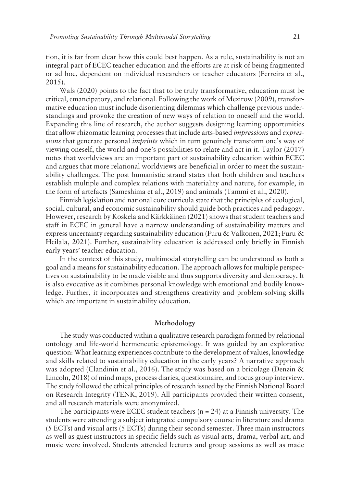tion, it is far from clear how this could best happen. As a rule, sustainability is not an integral part of ECEC teacher education and the efforts are at risk of being fragmented or ad hoc, dependent on individual researchers or teacher educators (Ferreira et al., 2015).

Wals (2020) points to the fact that to be truly transformative, education must be critical, emancipatory, and relational. Following the work of Mezirow (2009), transformative education must include disorienting dilemmas which challenge previous understandings and provoke the creation of new ways of relation to oneself and the world. Expanding this line of research, the author suggests designing learning opportunities that allow rhizomatic learning processes that include arts-based *impressions* and *expressions* that generate personal *imprints* which in turn genuinely transform one's way of viewing oneself, the world and one's possibilities to relate and act in it. Taylor (2017) notes that worldviews are an important part of sustainability education within ECEC and argues that more relational worldviews are beneficial in order to meet the sustainability challenges. The post humanistic strand states that both children and teachers establish multiple and complex relations with materiality and nature, for example, in the form of artefacts (Sameshima et al., 2019) and animals (Tammi et al., 2020).

Finnish legislation and national core curricula state that the principles of ecological, social, cultural, and economic sustainability should guide both practices and pedagogy. However, research by Koskela and Kärkkäinen (2021) shows that student teachers and staff in ECEC in general have a narrow understanding of sustainability matters and express uncertainty regarding sustainability education (Furu & Valkonen, 2021; Furu & Heilala, 2021). Further, sustainability education is addressed only briefly in Finnish early years' teacher education.

In the context of this study, multimodal storytelling can be understood as both a goal and a means for sustainability education. The approach allows for multiple perspectives on sustainability to be made visible and thus supports diversity and democracy. It is also evocative as it combines personal knowledge with emotional and bodily knowledge. Further, it incorporates and strengthens creativity and problem-solving skills which are important in sustainability education.

#### **Methodology**

The study was conducted within a qualitative research paradigm formed by relational ontology and life-world hermeneutic epistemology. It was guided by an explorative question: What learning experiences contribute to the development of values, knowledge and skills related to sustainability education in the early years? A narrative approach was adopted (Clandinin et al., 2016). The study was based on a bricolage (Denzin & Lincoln, 2018) of mind maps, process diaries, questionnaire, and focus group interview. The study followed the ethical principles of research issued by the Finnish National Board on Research Integrity (TENK, 2019). All participants provided their written consent, and all research materials were anonymized.

The participants were ECEC student teachers  $(n = 24)$  at a Finnish university. The students were attending a subject integrated compulsory course in literature and drama (5 ECTs) and visual arts (5 ECTs) during their second semester. Three main instructors as well as guest instructors in specific fields such as visual arts, drama, verbal art, and music were involved. Students attended lectures and group sessions as well as made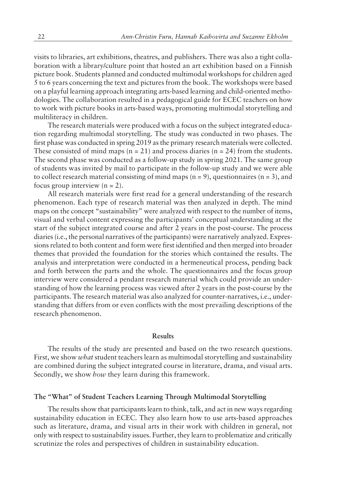visits to libraries, art exhibitions, theatres, and publishers. There was also a tight collaboration with a library/culture point that hosted an art exhibition based on a Finnish picture book. Students planned and conducted multimodal workshops for children aged 5 to 6 years concerning the text and pictures from the book. The workshops were based on a playful learning approach integrating arts-based learning and child-oriented methodologies. The collaboration resulted in a pedagogical guide for ECEC teachers on how to work with picture books in arts-based ways, promoting multimodal storytelling and multiliteracy in children.

The research materials were produced with a focus on the subject integrated education regarding multimodal storytelling. The study was conducted in two phases. The first phase was conducted in spring 2019 as the primary research materials were collected. These consisted of mind maps ( $n = 21$ ) and process diaries ( $n = 24$ ) from the students. The second phase was conducted as a follow-up study in spring 2021. The same group of students was invited by mail to participate in the follow-up study and we were able to collect research material consisting of mind maps  $(n = 9)$ , questionnaires  $(n = 3)$ , and focus group interview  $(n = 2)$ .

All research materials were first read for a general understanding of the research phenomenon. Each type of research material was then analyzed in depth. The mind maps on the concept "sustainability" were analyzed with respect to the number of items, visual and verbal content expressing the participantsí conceptual understanding at the start of the subject integrated course and after 2 years in the post-course. The process diaries (i.e., the personal narratives of the participants) were narratively analyzed. Expressions related to both content and form were first identified and then merged into broader themes that provided the foundation for the stories which contained the results. The analysis and interpretation were conducted in a hermeneutical process, pending back and forth between the parts and the whole. The questionnaires and the focus group interview were considered a pendant research material which could provide an understanding of how the learning process was viewed after 2 years in the post-course by the participants. The research material was also analyzed for counter-narratives, i.e., understanding that differs from or even conflicts with the most prevailing descriptions of the research phenomenon.

#### **Results**

The results of the study are presented and based on the two research questions. First, we show *what* student teachers learn as multimodal storytelling and sustainability are combined during the subject integrated course in literature, drama, and visual arts. Secondly, we show *how* they learn during this framework.

#### The "What" of Student Teachers Learning Through Multimodal Storytelling

The results show that participants learn to think, talk, and act in new ways regarding sustainability education in ECEC. They also learn how to use arts-based approaches such as literature, drama, and visual arts in their work with children in general, not only with respect to sustainability issues. Further, they learn to problematize and critically scrutinize the roles and perspectives of children in sustainability education.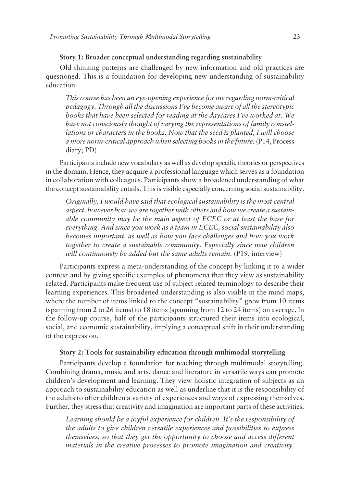# **Story 1: Broader conceptual understanding regarding sustainability**

Old thinking patterns are challenged by new information and old practices are questioned. This is a foundation for developing new understanding of sustainability education.

*This course has been an eye-opening experience for me regarding norm-critical pedagogy. Through all the discussions Iíve become aware of all the stereotypic* books that have been selected for reading at the daycares I've worked at. We *have not consciously thought of varying the representations of family constellations or characters in the books. Now that the seed is planted, I will choose a more norm-critical approach when selecting books in the future.* (P14, Process diary; PD)

Participants include new vocabulary as well as develop specific theories or perspectives in the domain. Hence, they acquire a professional language which serves as a foundation in collaboration with colleagues. Participants show a broadened understanding of what the concept sustainability entails. This is visible especially concerning social sustainability.

*Originally, I would have said that ecological sustainability is the most central aspect, however how we are together with others and how we create a sustainable community may be the main aspect of ECEC or at least the base for everything. And since you work as a team in ECEC, social sustainability also becomes important, as well as how you face challenges and how you work together to create a sustainable community. Especially since new children will continuously be added but the same adults remain.* (P19, interview)

Participants express a meta-understanding of the concept by linking it to a wider context and by giving specific examples of phenomena that they view as sustainability related. Participants make frequent use of subject related terminology to describe their learning experiences. This broadened understanding is also visible in the mind maps, where the number of items linked to the concept "sustainability" grew from 10 items (spanning from 2 to 26 items) to 18 items (spanning from 12 to 24 items) on average. In the follow-up course, half of the participants structured their items into ecological, social, and economic sustainability, implying a conceptual shift in their understanding of the expression.

#### **Story 2: Tools for sustainability education through multimodal storytelling**

Participants develop a foundation for teaching through multimodal storytelling. Combining drama, music and arts, dance and literature in versatile ways can promote children's development and learning. They view holistic integration of subjects as an approach to sustainability education as well as underline that it is the responsibility of the adults to offer children a variety of experiences and ways of expressing themselves. Further, they stress that creativity and imagination are important parts of these activities.

Learning should be a joyful experience for children. It's the responsibility of *the adults to give children versatile experiences and possibilities to express themselves, so that they get the opportunity to choose and access different materials in the creative processes to promote imagination and creativity.*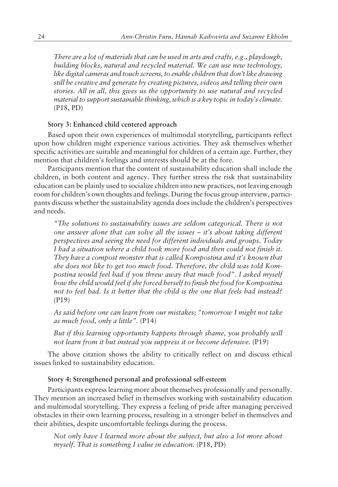*There are a lot of materials that can be used in arts and crafts, e.g., playdough, building blocks, natural and recycled material. We can use new technology, like digital cameras and touch screens, to enable children that donít like drawing still be creative and generate by creating pictures, videos and telling their own stories. All in all, this gives us the opportunity to use natural and recycled material to support sustainable thinking, which is a key topic in todayís climate.* (P18, PD)

#### **Story 3: Enhanced child centered approach**

Based upon their own experiences of multimodal storytelling, participants reflect upon how children might experience various activities. They ask themselves whether specific activities are suitable and meaningful for children of a certain age. Further, they mention that children's feelings and interests should be at the fore.

Participants mention that the content of sustainability education shall include the children, in both content and agency. They further stress the risk that sustainability education can be plainly used to socialize children into new practices, not leaving enough room for children's own thoughts and feelings. During the focus group interview, participants discuss whether the sustainability agenda does include the children's perspectives and needs.

*ìThe solutions to sustainability issues are seldom categorical. There is not one answer alone that can solve all the issues – it's about taking different perspectives and seeing the need for different individuals and groups. Today I had a situation where a child took more food and then could not finish it.* They have a compost monster that is called Kompostina and it's known that *she does not like to get too much food. Therefore, the child was told Kompostina would feel bad if you threw away that much foodî. I asked myself how the child would feel if she forced herself to finish the food for Kompostina not to feel bad. Is it better that the child is the one that feels bad instead?* (P19)

As said before one can learn from our mistakes; "tomorrow I might not take *as much food, only a little*". (P14)

*But if this learning opportunity happens through shame, you probably will not learn from it but instead you suppress it or become defensive.* (P19)

The above citation shows the ability to critically reflect on and discuss ethical issues linked to sustainability education.

#### **Story 4: Strengthened personal and professional self-esteem**

Participants express learning more about themselves professionally and personally. They mention an increased belief in themselves working with sustainability education and multimodal storytelling. They express a feeling of pride after managing perceived obstacles in their own learning process, resulting in a stronger belief in themselves and their abilities, despite uncomfortable feelings during the process.

*Not only have I learned more about the subject, but also a lot more about myself. That is something I value in education.* (P18, PD)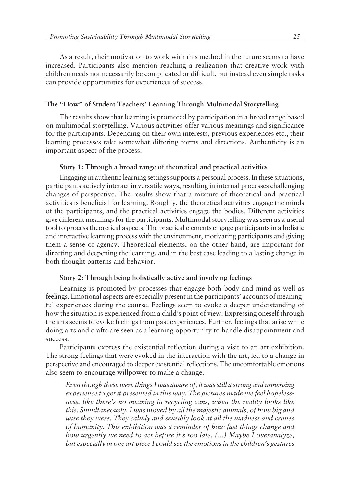As a result, their motivation to work with this method in the future seems to have increased. Participants also mention reaching a realization that creative work with children needs not necessarily be complicated or difficult, but instead even simple tasks can provide opportunities for experiences of success.

# The "How" of Student Teachers' Learning Through Multimodal Storytelling

The results show that learning is promoted by participation in a broad range based on multimodal storytelling. Various activities offer various meanings and significance for the participants. Depending on their own interests, previous experiences etc., their learning processes take somewhat differing forms and directions. Authenticity is an important aspect of the process.

## **Story 1: Through a broad range of theoretical and practical activities**

Engaging in authentic learning settings supports a personal process. In these situations, participants actively interact in versatile ways, resulting in internal processes challenging changes of perspective. The results show that a mixture of theoretical and practical activities is beneficial for learning. Roughly, the theoretical activities engage the minds of the participants, and the practical activities engage the bodies. Different activities give different meanings for the participants. Multimodal storytelling was seen as a useful tool to process theoretical aspects. The practical elements engage participants in a holistic and interactive learning process with the environment, motivating participants and giving them a sense of agency. Theoretical elements, on the other hand, are important for directing and deepening the learning, and in the best case leading to a lasting change in both thought patterns and behavior.

## **Story 2: Through being holistically active and involving feelings**

Learning is promoted by processes that engage both body and mind as well as feelings. Emotional aspects are especially present in the participants' accounts of meaningful experiences during the course. Feelings seem to evoke a deeper understanding of how the situation is experienced from a child's point of view. Expressing oneself through the arts seems to evoke feelings from past experiences. Further, feelings that arise while doing arts and crafts are seen as a learning opportunity to handle disappointment and success.

Participants express the existential reflection during a visit to an art exhibition. The strong feelings that were evoked in the interaction with the art, led to a change in perspective and encouraged to deeper existential reflections. The uncomfortable emotions also seem to encourage willpower to make a change.

*Even though these were things I was aware of, it was still a strong and unnerving experience to get it presented in this way. The pictures made me feel hopelessness, like thereís no meaning in recycling cans, when the reality looks like this. Simultaneously, I was moved by all the majestic animals, of how big and wise they were. They calmly and sensibly look at all the madness and crimes of humanity. This exhibition was a reminder of how fast things change and how urgently we need to act before it's too late. (...) Maybe I overanalyze, but especially in one art piece I could see the emotions in the children's gestures*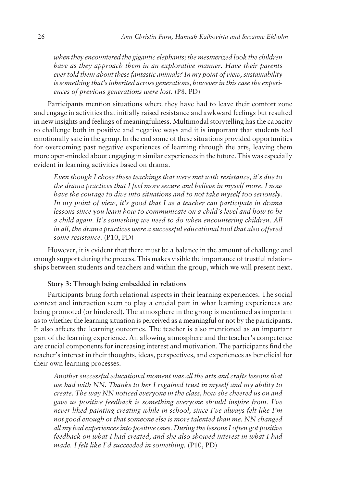*when they encountered the gigantic elephants; the mesmerized look the children have as they approach them in an explorative manner. Have their parents ever told them about these fantastic animals? In my point of view, sustainability* is something that's inherited across generations, however in this case the experi*ences of previous generations were lost.* (P8, PD)

Participants mention situations where they have had to leave their comfort zone and engage in activities that initially raised resistance and awkward feelings but resulted in new insights and feelings of meaningfulness. Multimodal storytelling has the capacity to challenge both in positive and negative ways and it is important that students feel emotionally safe in the group. In the end some of these situations provided opportunities for overcoming past negative experiences of learning through the arts, leaving them more open-minded about engaging in similar experiences in the future. This was especially evident in learning activities based on drama.

*Even though I chose these teachings that were met with resistance, it's due to the drama practices that I feel more secure and believe in myself more. I now have the courage to dive into situations and to not take myself too seriously.* In my point of view, it's good that I as a teacher can participate in drama *lessons since you learn how to communicate on a child's level and how to be a child again. Itís something we need to do when encountering children. All in all, the drama practices were a successful educational tool that also offered some resistance.* (P10, PD)

However, it is evident that there must be a balance in the amount of challenge and enough support during the process. This makes visible the importance of trustful relationships between students and teachers and within the group, which we will present next.

# **Story 3: Through being embedded in relations**

Participants bring forth relational aspects in their learning experiences. The social context and interaction seem to play a crucial part in what learning experiences are being promoted (or hindered). The atmosphere in the group is mentioned as important as to whether the learning situation is perceived as a meaningful or not by the participants. It also affects the learning outcomes. The teacher is also mentioned as an important part of the learning experience. An allowing atmosphere and the teacher's competence are crucial components for increasing interest and motivation. The participants find the teacher's interest in their thoughts, ideas, perspectives, and experiences as beneficial for their own learning processes.

*Another successful educational moment was all the arts and crafts lessons that we had with NN. Thanks to her I regained trust in myself and my ability to create. The way NN noticed everyone in the class, how she cheered us on and gave us positive feedback is something everyone should inspire from. Iíve never liked painting creating while in school, since Iíve always felt like Iím not good enough or that someone else is more talented than me. NN changed all my bad experiences into positive ones. During the lessons I often got positive feedback on what I had created, and she also showed interest in what I had made. I felt like Iíd succeeded in something.* (P10, PD)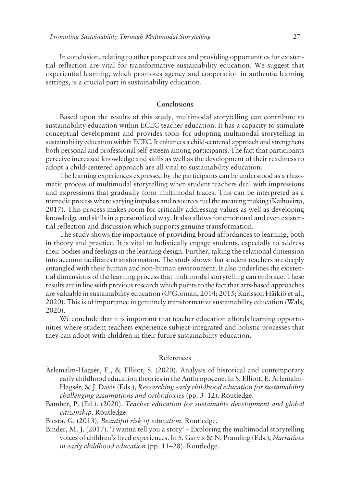In conclusion, relating to other perspectives and providing opportunities for existential reflection are vital for transformative sustainability education. We suggest that experiential learning, which promotes agency and cooperation in authentic learning settings, is a crucial part in sustainability education.

# **Conclusions**

Based upon the results of this study, multimodal storytelling can contribute to sustainability education within ECEC teacher education. It has a capacity to stimulate conceptual development and provides tools for adopting multimodal storytelling in sustainability education within ECEC. It enhances a child-centered approach and strengthens both personal and professional self-esteem among participants. The fact that participants perceive increased knowledge and skills as well as the development of their readiness to adopt a child-centered approach are all vital to sustainability education.

The learning experiences expressed by the participants can be understood as a rhizomatic process of multimodal storytelling when student teachers deal with impressions and expressions that gradually form multimodal traces. This can be interpreted as a nomadic process where varying impulses and resources fuel the meaning making (Kaihovirta, 2017). This process makes room for critically addressing values as well as developing knowledge and skills in a personalized way. It also allows for emotional and even existential reflection and discussion which supports genuine transformation.

The study shows the importance of providing broad affordances to learning, both in theory and practice. It is vital to holistically engage students, especially to address their bodies and feelings in the learning design. Further, taking the relational dimension into account facilitates transformation. The study shows that student teachers are deeply entangled with their human and non-human environment. It also underlines the existential dimensions of the learning process that multimodal storytelling can embrace. These results are in line with previous research which points to the fact that arts-based approaches are valuable in sustainability education (O'Gorman, 2014; 2015; Karlsson Häikiö et al., 2020). This is of importance in genuinely transformative sustainability education (Wals, 2020).

We conclude that it is important that teacher education affords learning opportunities where student teachers experience subject-integrated and holistic processes that they can adopt with children in their future sustainability education.

#### References

- ƒrlemalm-Hagsér, E., & Elliott, S. (2020). Analysis of historical and contemporary early childhood education theories in the Anthropocene. In S. Elliott, E. Arlemalm-Hagsér, & J. Davis (Eds.), *Researching early childhood education for sustainability challenging assumptions and orthodoxies* (pp. 3-12). Routledge.
- Bamber, P. (Ed.). (2020). *Teacher education for sustainable development and global citizenship*. Routledge.

Biesta, G. (2013). *Beautiful risk of education*. Routledge.

Binder, M. J. (2017). Twanna tell you a story' – Exploring the multimodal storytelling voices of children's lived experiences. In S. Garvis & N. Pramling (Eds.), *Narratives in early childhood education* (pp. 11–28). Routledge.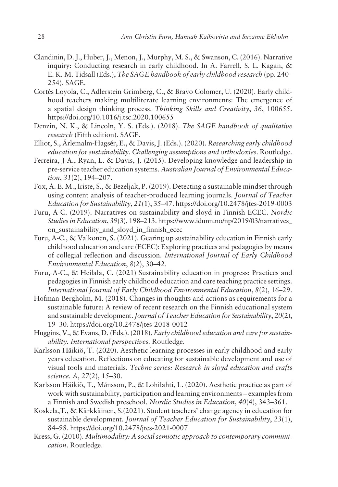- Clandinin, D. J., Huber, J., Menon, J., Murphy, M. S., & Swanson, C. (2016). Narrative inquiry: Conducting research in early childhood. In A. Farrell, S. L. Kagan, & E. K. M. Tidsall (Eds.), *The SAGE handbook of early childhood research* (pp. 240– 254). SAGE.
- Cortés Loyola, C., Adlerstein Grimberg, C., & Bravo Colomer, U. (2020). Early childhood teachers making multiliterate learning environments: The emergence of a spatial design thinking process. *Thinking Skills and Creativity*, *36*, 100655. https://doi.org/10.1016/j.tsc.2020.100655
- Denzin, N. K., & Lincoln, Y. S. (Eds.). (2018). *The SAGE handbook of qualitative research* (Fifth edition). SAGE.
- Elliot, S., Ärlemalm-Hagsér, E., & Davis, J. (Eds.). (2020). *Researching early childhood education for sustainability. Challenging assumptions and orthodoxies.* Routledge.
- Ferreira, J-A., Ryan, L. & Davis, J. (2015). Developing knowledge and leadership in pre-service teacher education systems. *Australian Journal of Environmental Education*, 31(2), 194–207.
- Fox, A. E. M., Iriste, S., & Bezeljak, P. (2019). Detecting a sustainable mindset through using content analysis of teacher-produced learning journals. *Journal of Teacher Education for Sustainability*, 21(1), 35-47. https://doi.org/10.2478/jtes-2019-0003
- Furu, A-C. (2019). Narratives on sustainability and sloyd in Finnish ECEC. *Nordic Studies in Education*, 39(3), 198–213. https://www.idunn.no/np/2019/03/narratives\_ on sustainability and sloyd in finnish ecec
- Furu, A-C., & Valkonen, S. (2021). Gearing up sustainability education in Finnish early childhood education and care (ECEC): Exploring practices and pedagogies by means of collegial reflection and discussion. *International Journal of Early Childhood Environmental Education*,  $8(2)$ , 30–42.
- Furu, A-C., & Heilala, C. (2021) Sustainability education in progress: Practices and pedagogies in Finnish early childhood education and care teaching practice settings. *International Journal of Early Childhood Environmental Education, 8(2), 16–29.*
- Hofman-Bergholm, M. (2018). Changes in thoughts and actions as requirements for a sustainable future: A review of recent research on the Finnish educational system and sustainable development. *Journal of Teacher Education for Sustainability*, *20*(2), 19ñ30. https://doi.org/10.2478/jtes-2018-0012
- Huggins, V., & Evans, D. (Eds.). (2018). *Early childhood education and care for sustainability. International perspectives.* Routledge.
- Karlsson Häikiö, T. (2020). Aesthetic learning processes in early childhood and early years education. Reflections on educating for sustainable development and use of visual tools and materials. *Techne series: Research in sloyd education and crafts science. A, 27(2), 15-30.*
- Karlsson Häikiö, T., Månsson, P., & Lohilahti, L. (2020). Aesthetic practice as part of work with sustainability, participation and learning environments – examples from a Finnish and Swedish preschool. *Nordic Studies in Education*, 40(4), 343–361.
- Koskela, T., & Kärkkäinen, S.(2021). Student teachers' change agency in education for sustainable development*. Journal of Teacher Education for Sustainability*, *23*(1), 84-98. https://doi.org/10.2478/jtes-2021-0007
- Kress, G. (2010). *Multimodality: A social semiotic approach to contemporary communication*. Routledge.